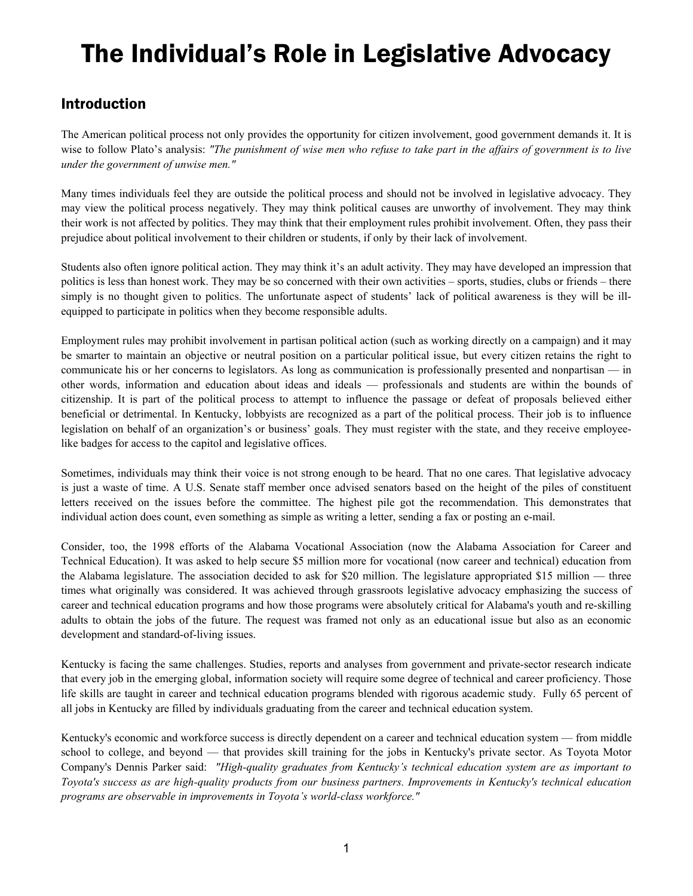# The Individual's Role in Legislative Advocacy

## Introduction

The American political process not only provides the opportunity for citizen involvement, good government demands it. It is wise to follow Plato's analysis: *"The punishment of wise men who refuse to take part in the affairs of government is to live under the government of unwise men."* 

Many times individuals feel they are outside the political process and should not be involved in legislative advocacy. They may view the political process negatively. They may think political causes are unworthy of involvement. They may think their work is not affected by politics. They may think that their employment rules prohibit involvement. Often, they pass their prejudice about political involvement to their children or students, if only by their lack of involvement.

Students also often ignore political action. They may think it's an adult activity. They may have developed an impression that politics is less than honest work. They may be so concerned with their own activities – sports, studies, clubs or friends – there simply is no thought given to politics. The unfortunate aspect of students' lack of political awareness is they will be illequipped to participate in politics when they become responsible adults.

Employment rules may prohibit involvement in partisan political action (such as working directly on a campaign) and it may be smarter to maintain an objective or neutral position on a particular political issue, but every citizen retains the right to communicate his or her concerns to legislators. As long as communication is professionally presented and nonpartisan — in other words, information and education about ideas and ideals — professionals and students are within the bounds of citizenship. It is part of the political process to attempt to influence the passage or defeat of proposals believed either beneficial or detrimental. In Kentucky, lobbyists are recognized as a part of the political process. Their job is to influence legislation on behalf of an organization's or business' goals. They must register with the state, and they receive employeelike badges for access to the capitol and legislative offices.

Sometimes, individuals may think their voice is not strong enough to be heard. That no one cares. That legislative advocacy is just a waste of time. A U.S. Senate staff member once advised senators based on the height of the piles of constituent letters received on the issues before the committee. The highest pile got the recommendation. This demonstrates that individual action does count, even something as simple as writing a letter, sending a fax or posting an e-mail.

Consider, too, the 1998 efforts of the Alabama Vocational Association (now the Alabama Association for Career and Technical Education). It was asked to help secure \$5 million more for vocational (now career and technical) education from the Alabama legislature. The association decided to ask for \$20 million. The legislature appropriated \$15 million — three times what originally was considered. It was achieved through grassroots legislative advocacy emphasizing the success of career and technical education programs and how those programs were absolutely critical for Alabama's youth and re-skilling adults to obtain the jobs of the future. The request was framed not only as an educational issue but also as an economic development and standard-of-living issues.

Kentucky is facing the same challenges. Studies, reports and analyses from government and private-sector research indicate that every job in the emerging global, information society will require some degree of technical and career proficiency. Those life skills are taught in career and technical education programs blended with rigorous academic study. Fully 65 percent of all jobs in Kentucky are filled by individuals graduating from the career and technical education system.

Kentucky's economic and workforce success is directly dependent on a career and technical education system — from middle school to college, and beyond — that provides skill training for the jobs in Kentucky's private sector. As Toyota Motor Company's Dennis Parker said: *"High-quality graduates from Kentucky's technical education system are as important to Toyota's success as are high-quality products from our business partners. Improvements in Kentucky's technical education programs are observable in improvements in Toyota's world-class workforce."*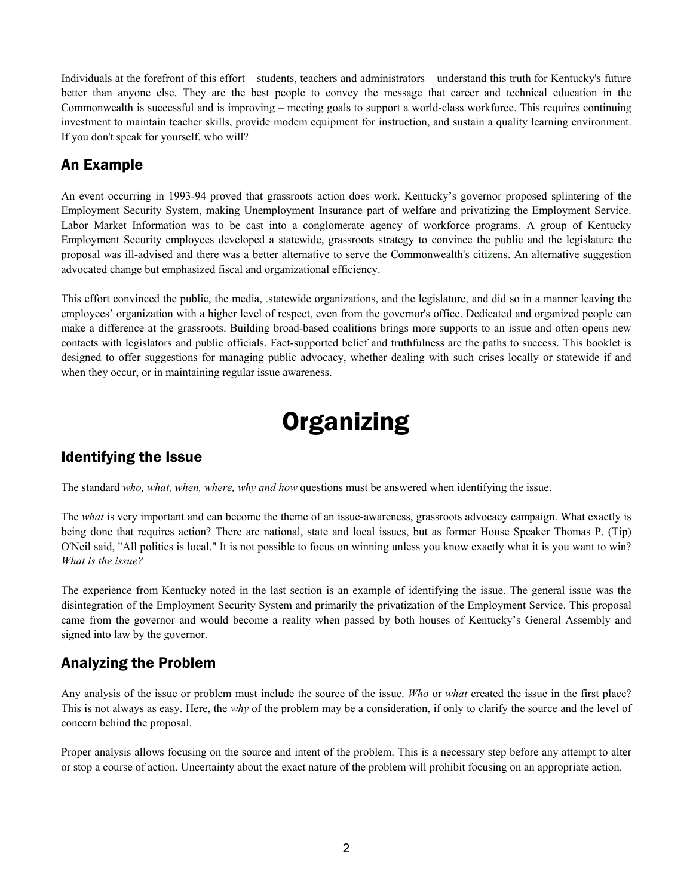Individuals at the forefront of this effort – students, teachers and administrators – understand this truth for Kentucky's future better than anyone else. They are the best people to convey the message that career and technical education in the Commonwealth is successful and is improving – meeting goals to support a world-class workforce. This requires continuing investment to maintain teacher skills, provide modem equipment for instruction, and sustain a quality learning environment. If you don't speak for yourself, who will?

## An Example

An event occurring in 1993-94 proved that grassroots action does work. Kentucky's governor proposed splintering of the Employment Security System, making Unemployment Insurance part of welfare and privatizing the Employment Service. Labor Market Information was to be cast into a conglomerate agency of workforce programs. A group of Kentucky Employment Security employees developed a statewide, grassroots strategy to convince the public and the legislature the proposal was ill-advised and there was a better alternative to serve the Commonwealth's citizens. An alternative suggestion advocated change but emphasized fiscal and organizational efficiency.

This effort convinced the public, the media, .statewide organizations, and the legislature, and did so in a manner leaving the employees' organization with a higher level of respect, even from the governor's office. Dedicated and organized people can make a difference at the grassroots. Building broad-based coalitions brings more supports to an issue and often opens new contacts with legislators and public officials. Fact-supported belief and truthfulness are the paths to success. This booklet is designed to offer suggestions for managing public advocacy, whether dealing with such crises locally or statewide if and when they occur, or in maintaining regular issue awareness.

## **Organizing**

## Identifying the Issue

The standard *who, what, when, where, why and how* questions must be answered when identifying the issue.

The *what* is very important and can become the theme of an issue-awareness, grassroots advocacy campaign. What exactly is being done that requires action? There are national, state and local issues, but as former House Speaker Thomas P. (Tip) O'Neil said, "All politics is local." It is not possible to focus on winning unless you know exactly what it is you want to win? *What is the issue?*

The experience from Kentucky noted in the last section is an example of identifying the issue. The general issue was the disintegration of the Employment Security System and primarily the privatization of the Employment Service. This proposal came from the governor and would become a reality when passed by both houses of Kentucky's General Assembly and signed into law by the governor.

## Analyzing the Problem

Any analysis of the issue or problem must include the source of the issue. *Who* or *what* created the issue in the first place? This is not always as easy. Here, the *why* of the problem may be a consideration, if only to clarify the source and the level of concern behind the proposal.

Proper analysis allows focusing on the source and intent of the problem. This is a necessary step before any attempt to alter or stop a course of action. Uncertainty about the exact nature of the problem will prohibit focusing on an appropriate action.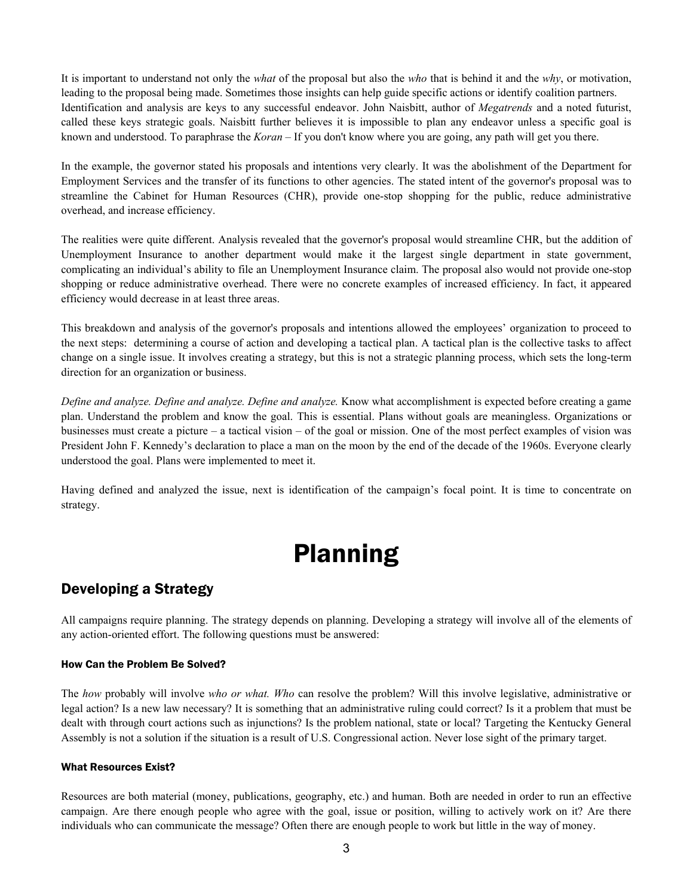It is important to understand not only the *what* of the proposal but also the *who* that is behind it and the *why*, or motivation, leading to the proposal being made. Sometimes those insights can help guide specific actions or identify coalition partners. Identification and analysis are keys to any successful endeavor. John Naisbitt, author of *Megatrends* and a noted futurist, called these keys strategic goals. Naisbitt further believes it is impossible to plan any endeavor unless a specific goal is known and understood. To paraphrase the *Koran –* If you don't know where you are going, any path will get you there.

In the example, the governor stated his proposals and intentions very clearly. It was the abolishment of the Department for Employment Services and the transfer of its functions to other agencies. The stated intent of the governor's proposal was to streamline the Cabinet for Human Resources (CHR), provide one-stop shopping for the public, reduce administrative overhead, and increase efficiency.

The realities were quite different. Analysis revealed that the governor's proposal would streamline CHR, but the addition of Unemployment Insurance to another department would make it the largest single department in state government, complicating an individual's ability to file an Unemployment Insurance claim. The proposal also would not provide one-stop shopping or reduce administrative overhead. There were no concrete examples of increased efficiency. In fact, it appeared efficiency would decrease in at least three areas.

This breakdown and analysis of the governor's proposals and intentions allowed the employees' organization to proceed to the next steps: determining a course of action and developing a tactical plan. A tactical plan is the collective tasks to affect change on a single issue. It involves creating a strategy, but this is not a strategic planning process, which sets the long-term direction for an organization or business.

*Define and analyze. Define and analyze. Define and analyze.* Know what accomplishment is expected before creating a game plan. Understand the problem and know the goal. This is essential. Plans without goals are meaningless. Organizations or businesses must create a picture – a tactical vision – of the goal or mission. One of the most perfect examples of vision was President John F. Kennedy's declaration to place a man on the moon by the end of the decade of the 1960s. Everyone clearly understood the goal. Plans were implemented to meet it.

Having defined and analyzed the issue, next is identification of the campaign's focal point. It is time to concentrate on strategy.

## Planning

### Developing a Strategy

All campaigns require planning. The strategy depends on planning. Developing a strategy will involve all of the elements of any action-oriented effort. The following questions must be answered:

### How Can the Problem Be Solved?

The *how* probably will involve *who or what. Who* can resolve the problem? Will this involve legislative, administrative or legal action? Is a new law necessary? It is something that an administrative ruling could correct? Is it a problem that must be dealt with through court actions such as injunctions? Is the problem national, state or local? Targeting the Kentucky General Assembly is not a solution if the situation is a result of U.S. Congressional action. Never lose sight of the primary target.

### What Resources Exist?

Resources are both material (money, publications, geography, etc.) and human. Both are needed in order to run an effective campaign. Are there enough people who agree with the goal, issue or position, willing to actively work on it? Are there individuals who can communicate the message? Often there are enough people to work but little in the way of money.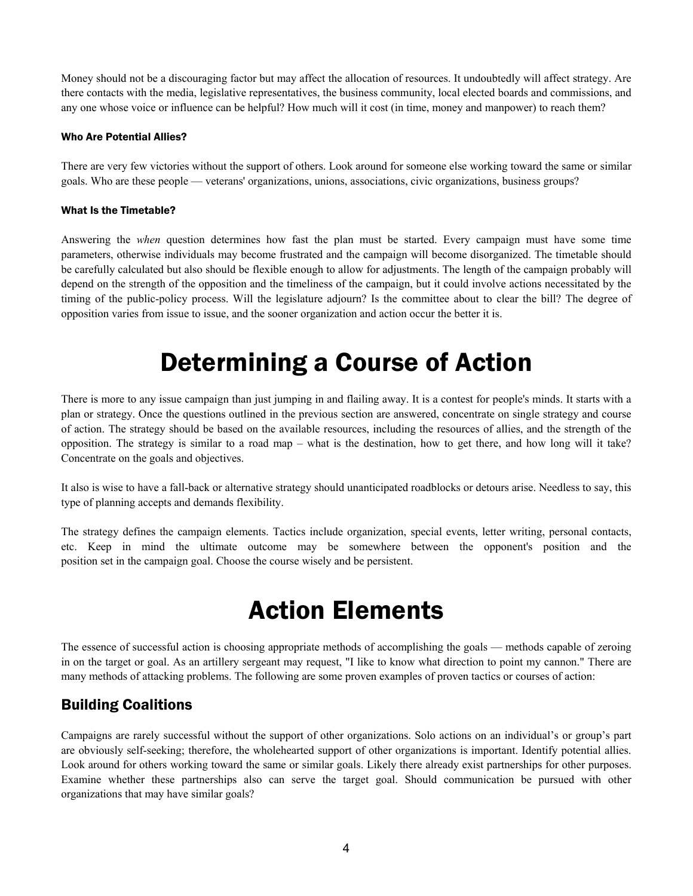Money should not be a discouraging factor but may affect the allocation of resources. It undoubtedly will affect strategy. Are there contacts with the media, legislative representatives, the business community, local elected boards and commissions, and any one whose voice or influence can be helpful? How much will it cost (in time, money and manpower) to reach them?

### Who Are Potential Allies?

There are very few victories without the support of others. Look around for someone else working toward the same or similar goals. Who are these people — veterans' organizations, unions, associations, civic organizations, business groups?

#### What Is the Timetable?

Answering the *when* question determines how fast the plan must be started. Every campaign must have some time parameters, otherwise individuals may become frustrated and the campaign will become disorganized. The timetable should be carefully calculated but also should be flexible enough to allow for adjustments. The length of the campaign probably will depend on the strength of the opposition and the timeliness of the campaign, but it could involve actions necessitated by the timing of the public-policy process. Will the legislature adjourn? Is the committee about to clear the bill? The degree of opposition varies from issue to issue, and the sooner organization and action occur the better it is.

## Determining a Course of Action

There is more to any issue campaign than just jumping in and flailing away. It is a contest for people's minds. It starts with a plan or strategy. Once the questions outlined in the previous section are answered, concentrate on single strategy and course of action. The strategy should be based on the available resources, including the resources of allies, and the strength of the opposition. The strategy is similar to a road map – what is the destination, how to get there, and how long will it take? Concentrate on the goals and objectives.

It also is wise to have a fall-back or alternative strategy should unanticipated roadblocks or detours arise. Needless to say, this type of planning accepts and demands flexibility.

The strategy defines the campaign elements. Tactics include organization, special events, letter writing, personal contacts, etc. Keep in mind the ultimate outcome may be somewhere between the opponent's position and the position set in the campaign goal. Choose the course wisely and be persistent.

## Action Elements

The essence of successful action is choosing appropriate methods of accomplishing the goals — methods capable of zeroing in on the target or goal. As an artillery sergeant may request, "I like to know what direction to point my cannon." There are many methods of attacking problems. The following are some proven examples of proven tactics or courses of action:

### Building Coalitions

Campaigns are rarely successful without the support of other organizations. Solo actions on an individual's or group's part are obviously self-seeking; therefore, the wholehearted support of other organizations is important. Identify potential allies. Look around for others working toward the same or similar goals. Likely there already exist partnerships for other purposes. Examine whether these partnerships also can serve the target goal. Should communication be pursued with other organizations that may have similar goals?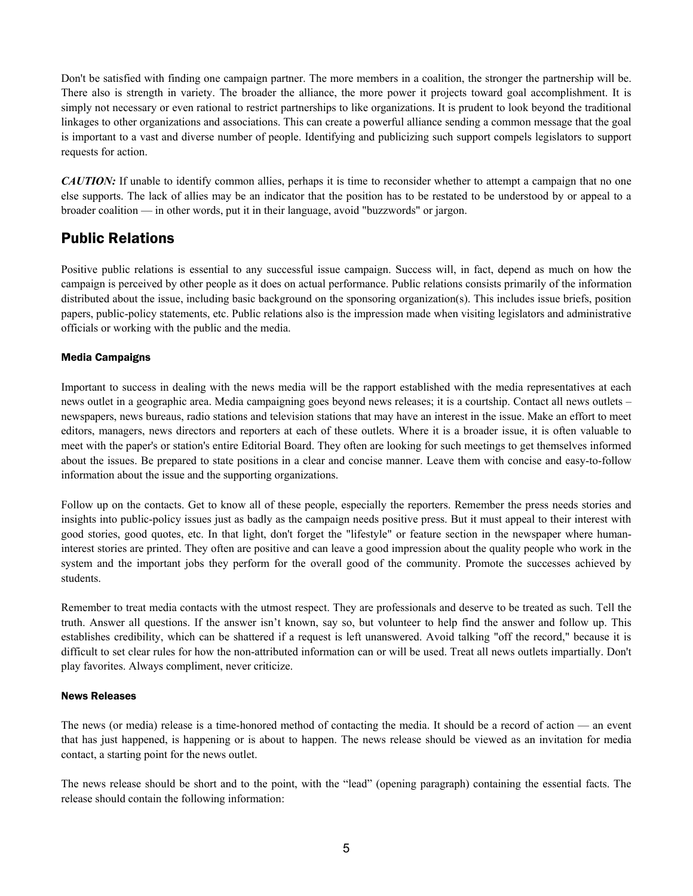Don't be satisfied with finding one campaign partner. The more members in a coalition, the stronger the partnership will be. There also is strength in variety. The broader the alliance, the more power it projects toward goal accomplishment. It is simply not necessary or even rational to restrict partnerships to like organizations. It is prudent to look beyond the traditional linkages to other organizations and associations. This can create a powerful alliance sending a common message that the goal is important to a vast and diverse number of people. Identifying and publicizing such support compels legislators to support requests for action.

*CAUTION:* If unable to identify common allies, perhaps it is time to reconsider whether to attempt a campaign that no one else supports. The lack of allies may be an indicator that the position has to be restated to be understood by or appeal to a broader coalition — in other words, put it in their language, avoid "buzzwords" or jargon.

### Public Relations

Positive public relations is essential to any successful issue campaign. Success will, in fact, depend as much on how the campaign is perceived by other people as it does on actual performance. Public relations consists primarily of the information distributed about the issue, including basic background on the sponsoring organization(s). This includes issue briefs, position papers, public-policy statements, etc. Public relations also is the impression made when visiting legislators and administrative officials or working with the public and the media.

### Media Campaigns

Important to success in dealing with the news media will be the rapport established with the media representatives at each news outlet in a geographic area. Media campaigning goes beyond news releases; it is a courtship. Contact all news outlets – newspapers, news bureaus, radio stations and television stations that may have an interest in the issue. Make an effort to meet editors, managers, news directors and reporters at each of these outlets. Where it is a broader issue, it is often valuable to meet with the paper's or station's entire Editorial Board. They often are looking for such meetings to get themselves informed about the issues. Be prepared to state positions in a clear and concise manner. Leave them with concise and easy-to-follow information about the issue and the supporting organizations.

Follow up on the contacts. Get to know all of these people, especially the reporters. Remember the press needs stories and insights into public-policy issues just as badly as the campaign needs positive press. But it must appeal to their interest with good stories, good quotes, etc. In that light, don't forget the "lifestyle" or feature section in the newspaper where humaninterest stories are printed. They often are positive and can leave a good impression about the quality people who work in the system and the important jobs they perform for the overall good of the community. Promote the successes achieved by students.

Remember to treat media contacts with the utmost respect. They are professionals and deserve to be treated as such. Tell the truth. Answer all questions. If the answer isn't known, say so, but volunteer to help find the answer and follow up. This establishes credibility, which can be shattered if a request is left unanswered. Avoid talking "off the record," because it is difficult to set clear rules for how the non-attributed information can or will be used. Treat all news outlets impartially. Don't play favorites. Always compliment, never criticize.

### News Releases

The news (or media) release is a time-honored method of contacting the media. It should be a record of action — an event that has just happened, is happening or is about to happen. The news release should be viewed as an invitation for media contact, a starting point for the news outlet.

The news release should be short and to the point, with the "lead" (opening paragraph) containing the essential facts. The release should contain the following information: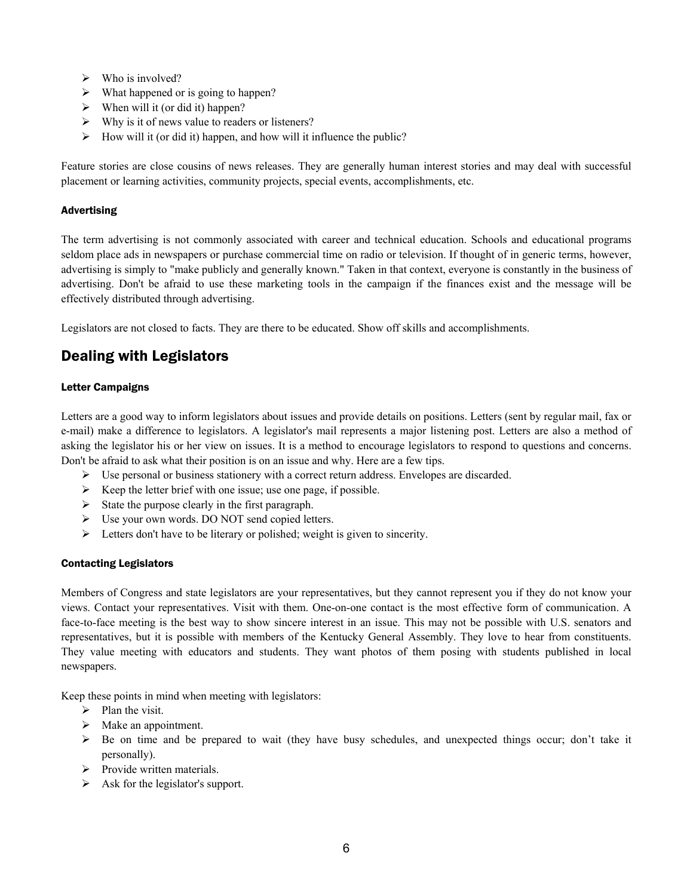- $\triangleright$  Who is involved?
- $\triangleright$  What happened or is going to happen?
- $\triangleright$  When will it (or did it) happen?
- $\triangleright$  Why is it of news value to readers or listeners?
- $\triangleright$  How will it (or did it) happen, and how will it influence the public?

Feature stories are close cousins of news releases. They are generally human interest stories and may deal with successful placement or learning activities, community projects, special events, accomplishments, etc.

#### Advertising

The term advertising is not commonly associated with career and technical education. Schools and educational programs seldom place ads in newspapers or purchase commercial time on radio or television. If thought of in generic terms, however, advertising is simply to "make publicly and generally known." Taken in that context, everyone is constantly in the business of advertising. Don't be afraid to use these marketing tools in the campaign if the finances exist and the message will be effectively distributed through advertising.

Legislators are not closed to facts. They are there to be educated. Show off skills and accomplishments.

## Dealing with Legislators

### Letter Campaigns

Letters are a good way to inform legislators about issues and provide details on positions. Letters (sent by regular mail, fax or e-mail) make a difference to legislators. A legislator's mail represents a major listening post. Letters are also a method of asking the legislator his or her view on issues. It is a method to encourage legislators to respond to questions and concerns. Don't be afraid to ask what their position is on an issue and why. Here are a few tips.

- $\triangleright$  Use personal or business stationery with a correct return address. Envelopes are discarded.
- $\triangleright$  Keep the letter brief with one issue; use one page, if possible.
- $\triangleright$  State the purpose clearly in the first paragraph.
- $\triangleright$  Use your own words. DO NOT send copied letters.
- $\triangleright$  Letters don't have to be literary or polished; weight is given to sincerity.

### Contacting Legislators

Members of Congress and state legislators are your representatives, but they cannot represent you if they do not know your views. Contact your representatives. Visit with them. One-on-one contact is the most effective form of communication. A face-to-face meeting is the best way to show sincere interest in an issue. This may not be possible with U.S. senators and representatives, but it is possible with members of the Kentucky General Assembly. They love to hear from constituents. They value meeting with educators and students. They want photos of them posing with students published in local newspapers.

Keep these points in mind when meeting with legislators:

- $\triangleright$  Plan the visit.
- $\triangleright$  Make an appointment.
- $\triangleright$  Be on time and be prepared to wait (they have busy schedules, and unexpected things occur; don't take it personally).
- $\triangleright$  Provide written materials.
- $\triangleright$  Ask for the legislator's support.